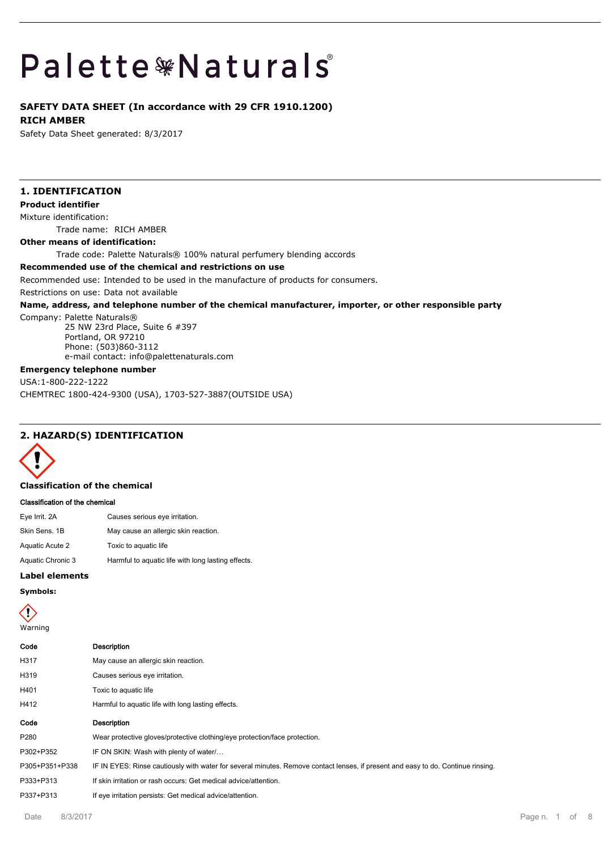# Palette \*Naturals

# **SAFETY DATA SHEET (In accordance with 29 CFR 1910.1200) RICH AMBER**

Safety Data Sheet generated: 8/3/2017

# **1. IDENTIFICATION**

**Product identifier**

Mixture identification:

Trade name: RICH AMBER

**Other means of identification:**

Trade code: Palette Naturals® 100% natural perfumery blending accords

### **Recommended use of the chemical and restrictions on use**

Recommended use: Intended to be used in the manufacture of products for consumers.

Restrictions on use: Data not available

### **Name, address, and telephone number of the chemical manufacturer, importer, or other responsible party**

Company: Palette Naturals®

25 NW 23rd Place, Suite 6 #397 Portland, OR 97210 Phone: (503)860-3112 e-mail contact: info@palettenaturals.com

# **Emergency telephone number**

USA:1-800-222-1222 CHEMTREC 1800-424-9300 (USA), 1703-527-3887(OUTSIDE USA)

# **2. HAZARD(S) IDENTIFICATION**



### **Classification of the chemical**

### **Classification of the chemical**

| Eye Irrit. 2A     | Causes serious eye irritation.                     |
|-------------------|----------------------------------------------------|
| Skin Sens. 1B     | May cause an allergic skin reaction.               |
| Aquatic Acute 2   | Toxic to aquatic life                              |
| Aquatic Chronic 3 | Harmful to aquatic life with long lasting effects. |
|                   |                                                    |

### **Label elements**

# **Symbols:**



# **Code Description** H317 May cause an allergic skin reaction. H319 Causes serious eye irritation. H401 Toxic to aquatic life H412 Harmful to aquatic life with long lasting effects. **Code Description** P280 Wear protective gloves/protective clothing/eye protection/face protection. P302+P352 IF ON SKIN: Wash with plenty of water/… P305+P351+P338 IF IN EYES: Rinse cautiously with water for several minutes. Remove contact lenses, if present and easy to do. Continue rinsing. P333+P313 If skin irritation or rash occurs: Get medical advice/attention.

P337+P313 If eye irritation persists: Get medical advice/attention.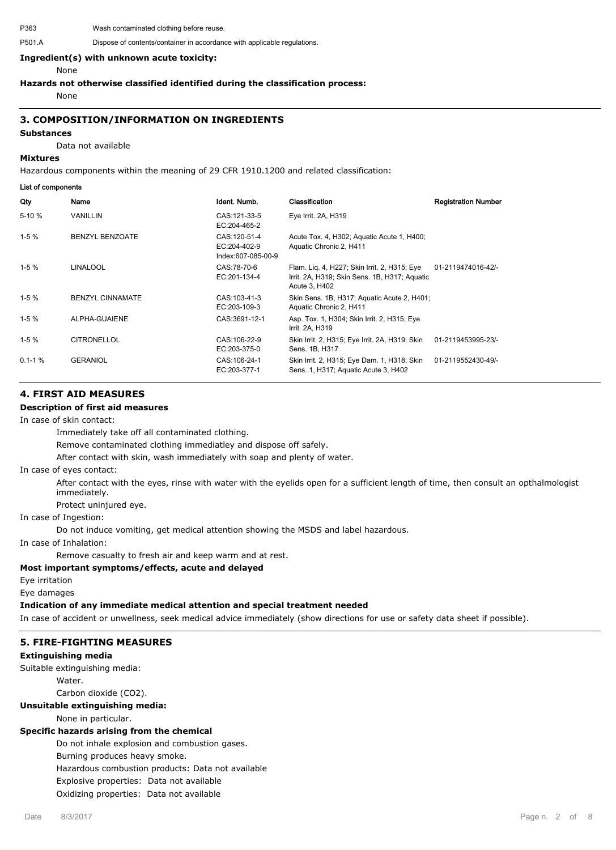P363 Wash contaminated clothing before reuse.

### **Ingredient(s) with unknown acute toxicity:**

None

### **Hazards not otherwise classified identified during the classification process:**

None

# **3. COMPOSITION/INFORMATION ON INGREDIENTS**

### **Substances**

Data not available

### **Mixtures**

Hazardous components within the meaning of 29 CFR 1910.1200 and related classification:

### **List of components**

| Qty        | Name                    | Ident. Numb.                                        | Classification                                                                                                 | <b>Registration Number</b> |
|------------|-------------------------|-----------------------------------------------------|----------------------------------------------------------------------------------------------------------------|----------------------------|
| 5-10 %     | <b>VANILLIN</b>         | CAS: 121-33-5<br>EC:204-465-2                       | Eye Irrit. 2A, H319                                                                                            |                            |
| $1-5%$     | <b>BENZYL BENZOATE</b>  | CAS: 120-51-4<br>EC:204-402-9<br>Index:607-085-00-9 | Acute Tox. 4, H302; Aquatic Acute 1, H400;<br>Aquatic Chronic 2, H411                                          |                            |
| $1-5%$     | <b>LINALOOL</b>         | CAS:78-70-6<br>EC:201-134-4                         | Flam. Lig. 4, H227; Skin Irrit. 2, H315; Eye<br>Irrit. 2A, H319; Skin Sens. 1B, H317; Aquatic<br>Acute 3, H402 | 01-2119474016-42/-         |
| $1-5%$     | <b>BENZYL CINNAMATE</b> | CAS: 103-41-3<br>EC:203-109-3                       | Skin Sens. 1B, H317; Aquatic Acute 2, H401;<br>Aquatic Chronic 2, H411                                         |                            |
| $1-5%$     | ALPHA-GUAIENE           | CAS:3691-12-1                                       | Asp. Tox. 1, H304; Skin Irrit. 2, H315; Eye<br>Irrit. 2A, H319                                                 |                            |
| $1-5%$     | <b>CITRONELLOL</b>      | CAS:106-22-9<br>EC:203-375-0                        | Skin Irrit. 2, H315; Eye Irrit. 2A, H319; Skin<br>Sens. 1B, H317                                               | 01-2119453995-23/-         |
| $0.1 - 1%$ | <b>GERANIOL</b>         | CAS: 106-24-1<br>EC:203-377-1                       | Skin Irrit. 2, H315; Eye Dam. 1, H318; Skin<br>Sens. 1, H317; Aquatic Acute 3, H402                            | 01-2119552430-49/-         |

# **4. FIRST AID MEASURES**

# **Description of first aid measures**

### In case of skin contact:

Immediately take off all contaminated clothing.

Remove contaminated clothing immediatley and dispose off safely.

After contact with skin, wash immediately with soap and plenty of water.

### In case of eyes contact:

After contact with the eyes, rinse with water with the eyelids open for a sufficient length of time, then consult an opthalmologist immediately.

Protect uninjured eye.

### In case of Ingestion:

Do not induce vomiting, get medical attention showing the MSDS and label hazardous.

In case of Inhalation:

Remove casualty to fresh air and keep warm and at rest.

# **Most important symptoms/effects, acute and delayed**

Eye irritation

Eye damages

### **Indication of any immediate medical attention and special treatment needed**

In case of accident or unwellness, seek medical advice immediately (show directions for use or safety data sheet if possible).

# **5. FIRE-FIGHTING MEASURES**

### **Extinguishing media**

Suitable extinguishing media:

**Water** 

Carbon dioxide (CO2).

### **Unsuitable extinguishing media:**

None in particular.

## **Specific hazards arising from the chemical**

Do not inhale explosion and combustion gases.

Burning produces heavy smoke.

Hazardous combustion products: Data not available

Explosive properties: Data not available

Oxidizing properties: Data not available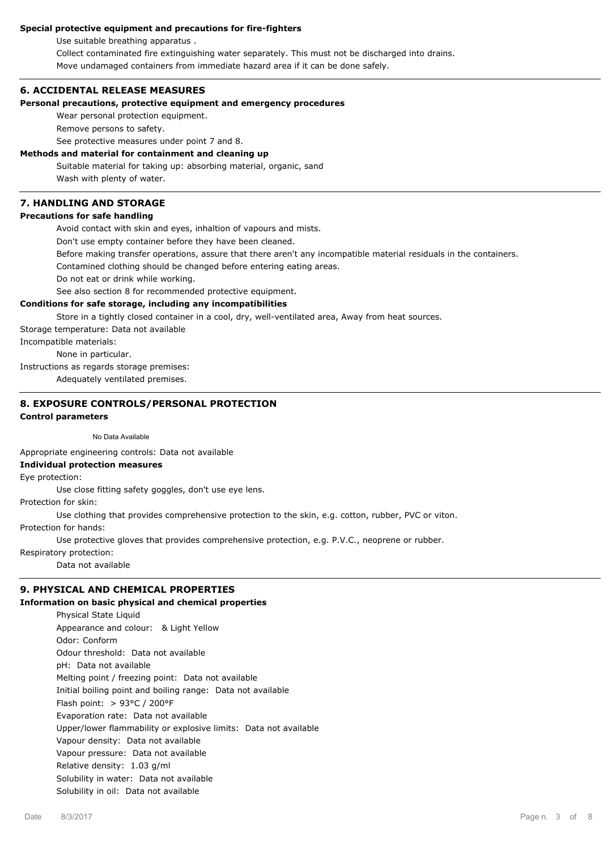# **Special protective equipment and precautions for fire-fighters**

Use suitable breathing apparatus .

Collect contaminated fire extinguishing water separately. This must not be discharged into drains.

Move undamaged containers from immediate hazard area if it can be done safely.

# **6. ACCIDENTAL RELEASE MEASURES**

### **Personal precautions, protective equipment and emergency procedures**

Wear personal protection equipment.

Remove persons to safety.

See protective measures under point 7 and 8.

# **Methods and material for containment and cleaning up**

Suitable material for taking up: absorbing material, organic, sand Wash with plenty of water.

# **7. HANDLING AND STORAGE**

# **Precautions for safe handling**

Avoid contact with skin and eyes, inhaltion of vapours and mists.

Don't use empty container before they have been cleaned.

Before making transfer operations, assure that there aren't any incompatible material residuals in the containers.

Contamined clothing should be changed before entering eating areas.

Do not eat or drink while working.

See also section 8 for recommended protective equipment.

### **Conditions for safe storage, including any incompatibilities**

Store in a tightly closed container in a cool, dry, well-ventilated area, Away from heat sources.

Storage temperature: Data not available

Incompatible materials:

None in particular.

Instructions as regards storage premises:

Adequately ventilated premises.

# **8. EXPOSURE CONTROLS/PERSONAL PROTECTION**

### **Control parameters**

No Data Available

Appropriate engineering controls: Data not available

### **Individual protection measures**

Eye protection:

Use close fitting safety goggles, don't use eye lens.

Protection for skin:

Use clothing that provides comprehensive protection to the skin, e.g. cotton, rubber, PVC or viton.

Protection for hands:

Use protective gloves that provides comprehensive protection, e.g. P.V.C., neoprene or rubber.

Respiratory protection:

Data not available

# **9. PHYSICAL AND CHEMICAL PROPERTIES**

### **Information on basic physical and chemical properties**

Physical State Liquid Appearance and colour: & Light Yellow Odor: Conform Odour threshold: Data not available pH: Data not available Melting point / freezing point: Data not available Initial boiling point and boiling range: Data not available Flash point: > 93°C / 200°F Evaporation rate: Data not available Upper/lower flammability or explosive limits: Data not available Vapour density: Data not available Vapour pressure: Data not available Relative density: 1.03 g/ml Solubility in water: Data not available Solubility in oil: Data not available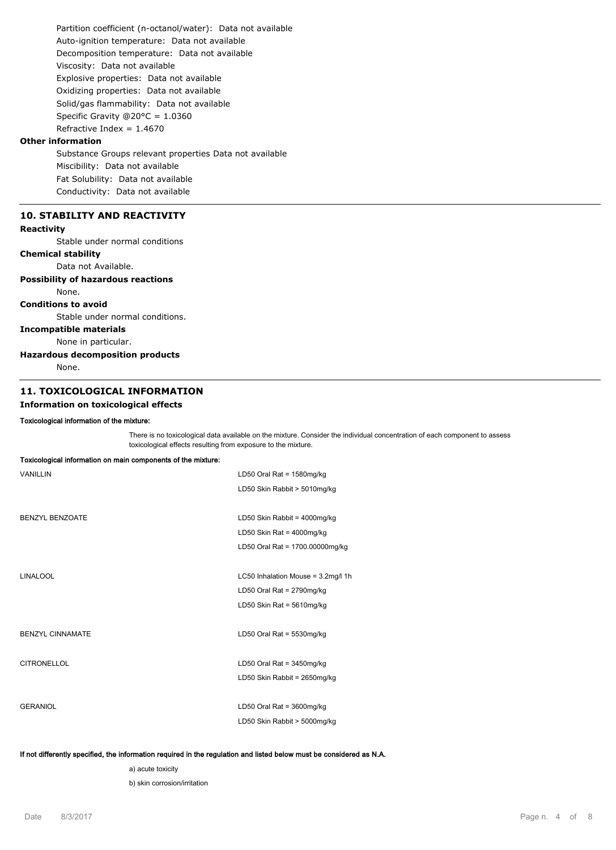Partition coefficient (n-octanol/water): Data not available Auto-ignition temperature: Data not available Decomposition temperature: Data not available Viscosity: Data not available Explosive properties: Data not available Oxidizing properties: Data not available Solid/gas flammability: Data not available Specific Gravity @20°C = 1.0360 Refractive Index =  $1.4670$ 

# **Other information**

Substance Groups relevant properties Data not available Miscibility: Data not available Fat Solubility: Data not available Conductivity: Data not available

# **10. STABILITY AND REACTIVITY**

# **Reactivity**

Stable under normal conditions

# **Chemical stability**

Data not Available.

### **Possibility of hazardous reactions** None.

# **Conditions to avoid**

Stable under normal conditions.

# **Incompatible materials**

None in particular.

### **Hazardous decomposition products**

None.

# **11. TOXICOLOGICAL INFORMATION**

# **Information on toxicological effects**

### **Toxicological information of the mixture:**

There is no toxicological data available on the mixture. Consider the individual concentration of each component to assess toxicological effects resulting from exposure to the mixture.

| Toxicological information on main components of the mixture: |                                    |
|--------------------------------------------------------------|------------------------------------|
| <b>VANILLIN</b>                                              | LD50 Oral Rat = 1580mg/kg          |
|                                                              | LD50 Skin Rabbit > 5010mg/kg       |
|                                                              |                                    |
| <b>BENZYL BENZOATE</b>                                       | LD50 Skin Rabbit = 4000mg/kg       |
|                                                              | LD50 Skin Rat = $4000$ mg/kg       |
|                                                              | LD50 Oral Rat = 1700.00000mg/kg    |
|                                                              |                                    |
| <b>LINALOOL</b>                                              | LC50 Inhalation Mouse = 3.2mg/l 1h |
|                                                              | LD50 Oral Rat = 2790mg/kg          |
|                                                              | LD50 Skin Rat = $5610$ mg/kg       |
|                                                              |                                    |
| <b>BENZYL CINNAMATE</b>                                      | LD50 Oral Rat = 5530mg/kg          |
|                                                              |                                    |
| <b>CITRONELLOL</b>                                           | LD50 Oral Rat = $3450$ mg/kg       |
|                                                              | LD50 Skin Rabbit = 2650mg/kg       |
|                                                              |                                    |
| <b>GERANIOL</b>                                              | LD50 Oral Rat = $3600$ mg/kg       |
|                                                              | LD50 Skin Rabbit > 5000mg/kg       |
|                                                              |                                    |

### **If not differently specified, the information required in the regulation and listed below must be considered as N.A.**

a) acute toxicity

b) skin corrosion/irritation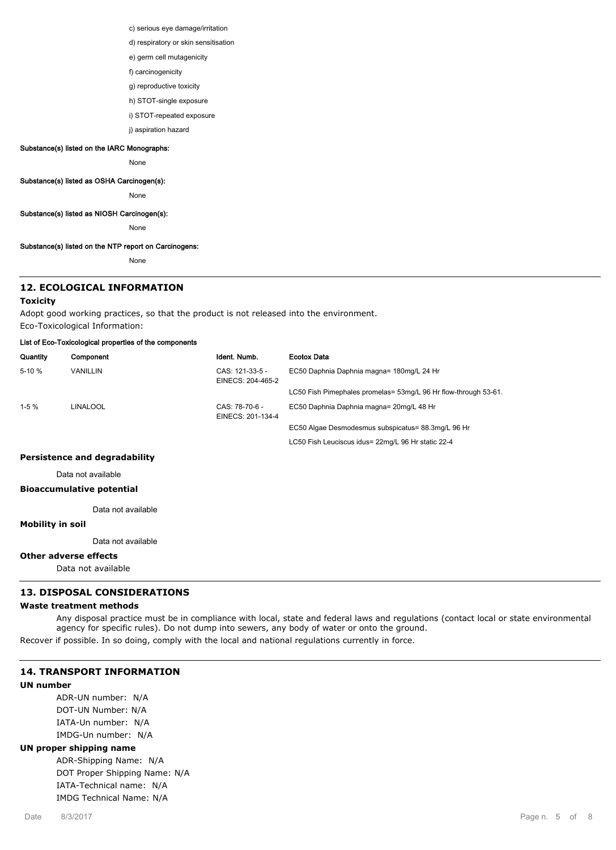c) serious eye damage/irritation

- d) respiratory or skin sensitisation
- e) germ cell mutagenicity
- f) carcinogenicity
- g) reproductive toxicity
- h) STOT-single exposure
- i) STOT-repeated exposure
- j) aspiration hazard

# **Substance(s) listed on the IARC Monographs:**

None

### **Substance(s) listed as OSHA Carcinogen(s):**

None

### **Substance(s) listed as NIOSH Carcinogen(s):**

None

### **Substance(s) listed on the NTP report on Carcinogens:**

None

# **12. ECOLOGICAL INFORMATION**

### **Toxicity**

Adopt good working practices, so that the product is not released into the environment. Eco-Toxicological Information:

### **List of Eco-Toxicological properties of the components**

| Quantity | Component | Ident. Numb.                         | Ecotox Data                                                     |
|----------|-----------|--------------------------------------|-----------------------------------------------------------------|
| $5-10%$  | VANILLIN  | CAS: 121-33-5 -<br>EINECS: 204-465-2 | EC50 Daphnia Daphnia magna= 180mg/L 24 Hr                       |
|          |           |                                      | LC50 Fish Pimephales promelas= 53mg/L 96 Hr flow-through 53-61. |
| $1-5%$   | LINALOOL  | CAS: 78-70-6 -<br>EINECS: 201-134-4  | EC50 Daphnia Daphnia magna= 20mg/L 48 Hr                        |
|          |           |                                      | EC50 Algae Desmodesmus subspicatus= 88.3mg/L 96 Hr              |
|          |           |                                      | LC50 Fish Leuciscus idus= 22mg/L 96 Hr static 22-4              |

# **Persistence and degradability**

Data not available

# **Bioaccumulative potential**

Data not available

# **Mobility in soil**

Data not available

# **Other adverse effects**

Data not available

# **13. DISPOSAL CONSIDERATIONS**

# **Waste treatment methods**

Any disposal practice must be in compliance with local, state and federal laws and regulations (contact local or state environmental agency for specific rules). Do not dump into sewers, any body of water or onto the ground.

Recover if possible. In so doing, comply with the local and national regulations currently in force.

# **14. TRANSPORT INFORMATION**

### **UN number**

ADR-UN number: N/A DOT-UN Number: N/A IATA-Un number: N/A IMDG-Un number: N/A

### **UN proper shipping name**

ADR-Shipping Name: N/A DOT Proper Shipping Name: N/A IATA-Technical name: N/A IMDG Technical Name: N/A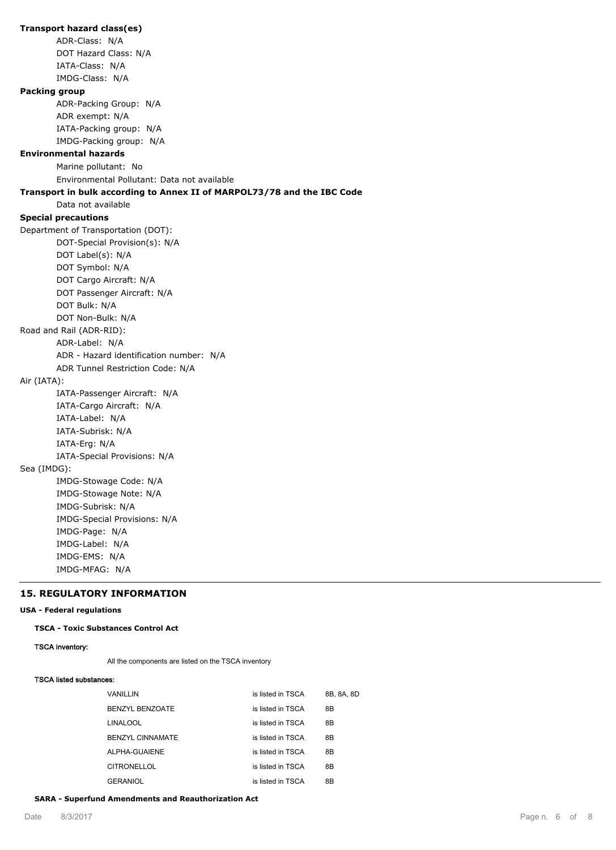**Transport hazard class(es)** ADR-Class: N/A DOT Hazard Class: N/A IATA-Class: N/A IMDG-Class: N/A **Packing group** ADR-Packing Group: N/A ADR exempt: N/A IATA-Packing group: N/A IMDG-Packing group: N/A **Environmental hazards** Marine pollutant: No Environmental Pollutant: Data not available **Transport in bulk according to Annex II of MARPOL73/78 and the IBC Code** Data not available **Special precautions** Department of Transportation (DOT): DOT-Special Provision(s): N/A DOT Label(s): N/A DOT Symbol: N/A DOT Cargo Aircraft: N/A DOT Passenger Aircraft: N/A DOT Bulk: N/A DOT Non-Bulk: N/A Road and Rail (ADR-RID): ADR-Label: N/A ADR - Hazard identification number: N/A ADR Tunnel Restriction Code: N/A Air (IATA): IATA-Passenger Aircraft: N/A IATA-Cargo Aircraft: N/A IATA-Label: N/A IATA-Subrisk: N/A IATA-Erg: N/A IATA-Special Provisions: N/A Sea (IMDG): IMDG-Stowage Code: N/A IMDG-Stowage Note: N/A IMDG-Subrisk: N/A IMDG-Special Provisions: N/A IMDG-Page: N/A IMDG-Label: N/A IMDG-EMS: N/A IMDG-MFAG: N/A

# **15. REGULATORY INFORMATION**

### **USA - Federal regulations**

**TSCA - Toxic Substances Control Act**

### **TSCA inventory:**

All the components are listed on the TSCA inventory

### **TSCA listed substances:**

| VANILLIN                | is listed in TSCA | 8B, 8A, 8D |
|-------------------------|-------------------|------------|
| <b>BENZYL BENZOATE</b>  | is listed in TSCA | 8Β         |
| LINALOOL                | is listed in TSCA | 8Β         |
| <b>BENZYL CINNAMATE</b> | is listed in TSCA | 8B         |
| ALPHA-GUAIENE           | is listed in TSCA | 8B         |
| <b>CITRONELLOL</b>      | is listed in TSCA | 8B         |
| GERANIOL                | is listed in TSCA | 8B         |

### **SARA - Superfund Amendments and Reauthorization Act**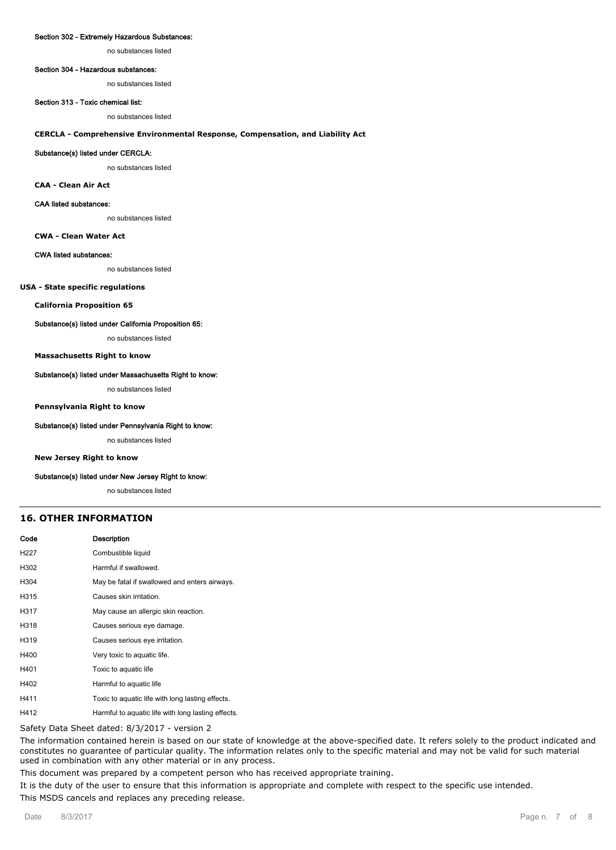### **Section 302 - Extremely Hazardous Substances:**

no substances listed

#### **Section 304 - Hazardous substances:**

no substances listed

# **Section 313 - Toxic chemical list:**

no substances listed

### **CERCLA - Comprehensive Environmental Response, Compensation, and Liability Act**

### **Substance(s) listed under CERCLA:**

no substances listed

**CAA - Clean Air Act**

### **CAA listed substances:**

no substances listed

**CWA - Clean Water Act**

### **CWA listed substances:**

no substances listed

### **USA - State specific regulations**

**California Proposition 65**

### **Substance(s) listed under California Proposition 65:**

no substances listed

### **Massachusetts Right to know**

### **Substance(s) listed under Massachusetts Right to know:**

no substances listed

### **Pennsylvania Right to know**

### **Substance(s) listed under Pennsylvania Right to know:**

no substances listed

### **New Jersey Right to know**

#### **Substance(s) listed under New Jersey Right to know:**

no substances listed

### **16. OTHER INFORMATION**

| Code | Description                                        |
|------|----------------------------------------------------|
| H227 | Combustible liquid                                 |
| H302 | Harmful if swallowed.                              |
| H304 | May be fatal if swallowed and enters airways.      |
| H315 | Causes skin irritation.                            |
| H317 | May cause an allergic skin reaction.               |
| H318 | Causes serious eye damage.                         |
| H319 | Causes serious eye irritation.                     |
| H400 | Very toxic to aquatic life.                        |
| H401 | Toxic to aquatic life                              |
| H402 | Harmful to aquatic life                            |
| H411 | Toxic to aguatic life with long lasting effects.   |
| H412 | Harmful to aquatic life with long lasting effects. |

Safety Data Sheet dated: 8/3/2017 - version 2

The information contained herein is based on our state of knowledge at the above-specified date. It refers solely to the product indicated and constitutes no guarantee of particular quality. The information relates only to the specific material and may not be valid for such material used in combination with any other material or in any process.

This document was prepared by a competent person who has received appropriate training.

It is the duty of the user to ensure that this information is appropriate and complete with respect to the specific use intended. This MSDS cancels and replaces any preceding release.